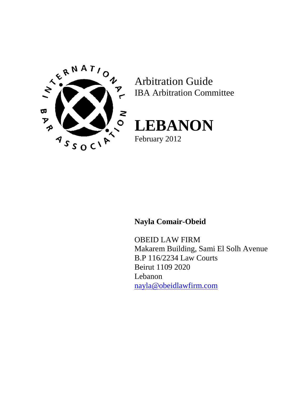

Arbitration Guide IBA Arbitration Committee



**Nayla Comair-Obeid**

OBEID LAW FIRM Makarem Building, Sami El Solh Avenue B.P 116/2234 Law Courts Beirut 1109 2020 Lebanon [nayla@obeidlawfirm.com](mailto:nayla@obeidlawfirm.com)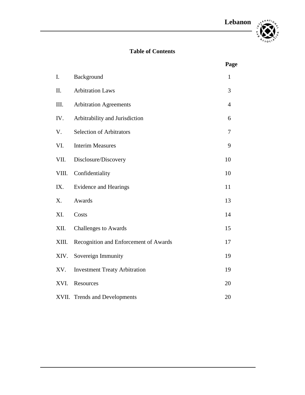

# **Table of Contents**

|       |                                       | Page           |
|-------|---------------------------------------|----------------|
| I.    | Background                            | 1              |
| II.   | <b>Arbitration Laws</b>               | 3              |
| III.  | <b>Arbitration Agreements</b>         | $\overline{4}$ |
| IV.   | Arbitrability and Jurisdiction        | 6              |
| V.    | <b>Selection of Arbitrators</b>       | 7              |
| VI.   | <b>Interim Measures</b>               | 9              |
| VII.  | Disclosure/Discovery                  | 10             |
| VIII. | Confidentiality                       | 10             |
| IX.   | <b>Evidence and Hearings</b>          | 11             |
| X.    | Awards                                | 13             |
| XI.   | Costs                                 | 14             |
| XII.  | <b>Challenges to Awards</b>           | 15             |
| XIII. | Recognition and Enforcement of Awards | 17             |
| XIV.  | Sovereign Immunity                    | 19             |
| XV.   | <b>Investment Treaty Arbitration</b>  | 19             |
| XVI.  | Resources                             | 20             |
| XVII. | <b>Trends and Developments</b>        | 20             |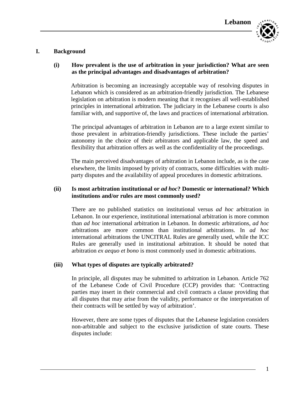

# **I. Background**

# **(i) How prevalent is the use of arbitration in your jurisdiction? What are seen as the principal advantages and disadvantages of arbitration?**

Arbitration is becoming an increasingly acceptable way of resolving disputes in Lebanon which is considered as an arbitration-friendly jurisdiction. The Lebanese legislation on arbitration is modern meaning that it recognises all well-established principles in international arbitration. The judiciary in the Lebanese courts is also familiar with, and supportive of, the laws and practices of international arbitration.

The principal advantages of arbitration in Lebanon are to a large extent similar to those prevalent in arbitration-friendly jurisdictions. These include the parties' autonomy in the choice of their arbitrators and applicable law, the speed and flexibility that arbitration offers as well as the confidentiality of the proceedings.

The main perceived disadvantages of arbitration in Lebanon include, as is the case elsewhere, the limits imposed by privity of contracts, some difficulties with multiparty disputes and the availability of appeal procedures in domestic arbitrations.

### **(ii) Is most arbitration institutional or** *ad hoc***? Domestic or international? Which institutions and/or rules are most commonly used?**

There are no published statistics on institutional versus *ad hoc* arbitration in Lebanon. In our experience, institutional international arbitration is more common than *ad hoc* international arbitration in Lebanon. In domestic arbitrations, *ad hoc* arbitrations are more common than institutional arbitrations. In *ad hoc* international arbitrations the UNCITRAL Rules are generally used, while the ICC Rules are generally used in institutional arbitration. It should be noted that arbitration *ex aequo et bono* is most commonly used in domestic arbitrations.

# **(iii) What types of disputes are typically arbitrated?**

In principle, all disputes may be submitted to arbitration in Lebanon. Article 762 of the Lebanese Code of Civil Procedure (CCP) provides that: 'Contracting parties may insert in their commercial and civil contracts a clause providing that all disputes that may arise from the validity, performance or the interpretation of their contracts will be settled by way of arbitration'.

However, there are some types of disputes that the Lebanese legislation considers non-arbitrable and subject to the exclusive jurisdiction of state courts. These disputes include: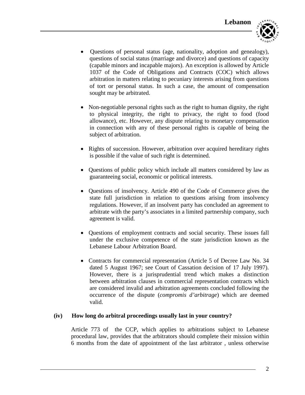

- Questions of personal status (age, nationality, adoption and genealogy), questions of social status (marriage and divorce) and questions of capacity (capable minors and incapable majors). An exception is allowed by Article 1037 of the Code of Obligations and Contracts (COC) which allows arbitration in matters relating to pecuniary interests arising from questions of tort or personal status. In such a case, the amount of compensation sought may be arbitrated.
- Non-negotiable personal rights such as the right to human dignity, the right to physical integrity, the right to privacy, the right to food (food allowance), etc. However, any dispute relating to monetary compensation in connection with any of these personal rights is capable of being the subject of arbitration.
- Rights of succession. However, arbitration over acquired hereditary rights is possible if the value of such right is determined.
- Questions of public policy which include all matters considered by law as guaranteeing social, economic or political interests.
- Questions of insolvency. Article 490 of the Code of Commerce gives the state full jurisdiction in relation to questions arising from insolvency regulations. However, if an insolvent party has concluded an agreement to arbitrate with the party's associates in a limited partnership company, such agreement is valid.
- Questions of employment contracts and social security. These issues fall under the exclusive competence of the state jurisdiction known as the Lebanese Labour Arbitration Board.
- Contracts for commercial representation (Article 5 of Decree Law No. 34 dated 5 August 1967; see Court of Cassation decision of 17 July 1997). However, there is a jurisprudential trend which makes a distinction between arbitration clauses in commercial representation contracts which are considered invalid and arbitration agreements concluded following the occurrence of the dispute (*compromis d'arbitrage*) which are deemed valid.

# **(iv) How long do arbitral proceedings usually last in your country?**

Article 773 of the CCP, which applies to arbitrations subject to Lebanese procedural law, provides that the arbitrators should complete their mission within 6 months from the date of appointment of the last arbitrator , unless otherwise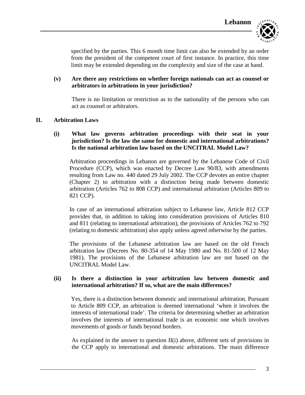

specified by the parties. This 6 month time limit can also be extended by an order from the president of the competent court of first instance. In practice, this time limit may be extended depending on the complexity and size of the case at hand.

### **(v) Are there any restrictions on whether foreign nationals can act as counsel or arbitrators in arbitrations in your jurisdiction?**

There is no limitation or restriction as to the nationality of the persons who can act as counsel or arbitrators.

#### **II. Arbitration Laws**

### **(i) What law governs arbitration proceedings with their seat in your jurisdiction? Is the law the same for domestic and international arbitrations? Is the national arbitration law based on the UNCITRAL Model Law?**

Arbitration proceedings in Lebanon are governed by the Lebanese Code of Civil Procedure (CCP), which was enacted by Decree Law 90/83, with amendments resulting from Law no. 440 dated 29 July 2002. The CCP devotes an entire chapter (Chapter 2) to arbitration with a distinction being made between domestic arbitration (Articles 762 to 808 CCP) and international arbitration (Articles 809 to 821 CCP).

In case of an international arbitration subject to Lebanese law, Article 812 CCP provides that, in addition to taking into consideration provisions of Articles 810 and 811 (relating to international arbitration), the provisions of Articles 762 to 792 (relating to domestic arbitration) also apply unless agreed otherwise by the parties.

The provisions of the Lebanese arbitration law are based on the old French arbitration law (Decrees No. 80-354 of 14 May 1980 and No. 81-500 of 12 May 1981). The provisions of the Lebanese arbitration law are not based on the UNCITRAL Model Law.

#### **(ii) Is there a distinction in your arbitration law between domestic and international arbitration? If so, what are the main differences?**

Yes, there is a distinction between domestic and international arbitration. Pursuant to Article 809 CCP, an arbitration is deemed international 'when it involves the interests of international trade'. The criteria for determining whether an arbitration involves the interests of international trade is an economic one which involves movements of goods or funds beyond borders.

As explained in the answer to question  $II(i)$  above, different sets of provisions in the CCP apply to international and domestic arbitrations. The main difference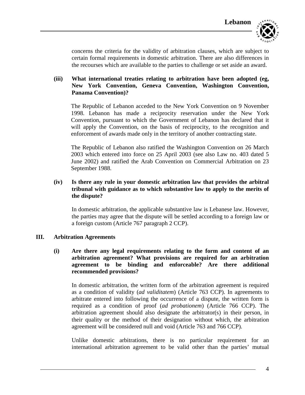

concerns the criteria for the validity of arbitration clauses, which are subject to certain formal requirements in domestic arbitration. There are also differences in the recourses which are available to the parties to challenge or set aside an award.

### **(iii) What international treaties relating to arbitration have been adopted (eg, New York Convention, Geneva Convention, Washington Convention, Panama Convention)?**

The Republic of Lebanon acceded to the New York Convention on 9 November 1998. Lebanon has made a reciprocity reservation under the New York Convention, pursuant to which the Government of Lebanon has declared that it will apply the Convention, on the basis of reciprocity, to the recognition and enforcement of awards made only in the territory of another contracting state.

The Republic of Lebanon also ratified the Washington Convention on 26 March 2003 which entered into force on 25 April 2003 (see also Law no. 403 dated 5 June 2002) and ratified the Arab Convention on Commercial Arbitration on 23 September 1988.

### **(iv) Is there any rule in your domestic arbitration law that provides the arbitral tribunal with guidance as to which substantive law to apply to the merits of the dispute?**

In domestic arbitration, the applicable substantive law is Lebanese law. However, the parties may agree that the dispute will be settled according to a foreign law or a foreign custom (Article 767 paragraph 2 CCP).

#### **III. Arbitration Agreements**

**(i) Are there any legal requirements relating to the form and content of an arbitration agreement? What provisions are required for an arbitration agreement to be binding and enforceable? Are there additional recommended provisions?** 

In domestic arbitration, the written form of the arbitration agreement is required as a condition of validity (*ad validitatem*) (Article 763 CCP). In agreements to arbitrate entered into following the occurrence of a dispute, the written form is required as a condition of proof (*ad probationem*) (Article 766 CCP). The arbitration agreement should also designate the arbitrator(s) in their person, in their quality or the method of their designation without which, the arbitration agreement will be considered null and void (Article 763 and 766 CCP).

Unlike domestic arbitrations, there is no particular requirement for an international arbitration agreement to be valid other than the parties' mutual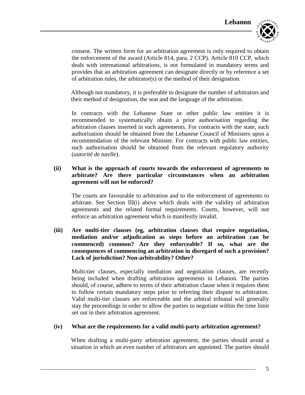

consent. The written form for an arbitration agreement is only required to obtain the enforcement of the award (Article 814, para. 2 CCP). Article 810 CCP, which deals with international arbitrations, is not formulated in mandatory terms and provides that an arbitration agreement can designate directly or by reference a set of arbitration rules, the arbitrator(s) or the method of their designation.

Although not mandatory, it is preferable to designate the number of arbitrators and their method of designation, the seat and the language of the arbitration.

In contracts with the Lebanese State or other public law entities it is recommended to systematically obtain a prior authorisation regarding the arbitration clauses inserted in such agreements. For contracts with the state, such authorisation should be obtained from the Lebanese Council of Ministers upon a recommendation of the relevant Minister. For contracts with public law entities, such authorisation should be obtained from the relevant regulatory authority (*autorité de tutelle*).

### **(ii) What is the approach of courts towards the enforcement of agreements to arbitrate? Are there particular circumstances when an arbitration agreement will not be enforced?**

The courts are favourable to arbitration and to the enforcement of agreements to arbitrate. See Section III(i) above which deals with the validity of arbitration agreements and the related formal requirements. Courts, however, will not enforce an arbitration agreement which is manifestly invalid.

**(iii) Are multi-tier clauses (eg, arbitration clauses that require negotiation, mediation and/or adjudication as steps before an arbitration can be commenced) common? Are they enforceable? If so, what are the consequences of commencing an arbitration in disregard of such a provision? Lack of jurisdiction? Non-arbitrability? Other?**

Multi-tier clauses, especially mediation and negotiation clauses, are recently being included when drafting arbitration agreements in Lebanon. The parties should, of course, adhere to terms of their arbitration clause when it requires them to follow certain mandatory steps prior to referring their dispute to arbitration. Valid multi-tier clauses are enforceable and the arbitral tribunal will generally stay the proceedings in order to allow the parties to negotiate within the time limit set out in their arbitration agreement.

#### **(iv) What are the requirements for a valid multi-party arbitration agreement?**

When drafting a multi-party arbitration agreement, the parties should avoid a situation in which an even number of arbitrators are appointed. The parties should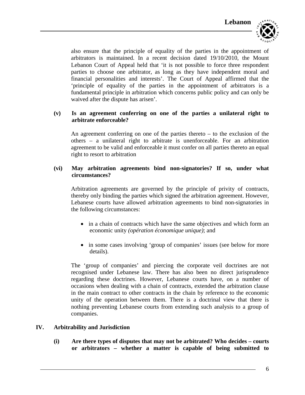also ensure that the principle of equality of the parties in the appointment of arbitrators is maintained. In a recent decision dated 19/10/2010, the Mount Lebanon Court of Appeal held that 'it is not possible to force three respondent parties to choose one arbitrator, as long as they have independent moral and financial personalities and interests'. The Court of Appeal affirmed that the 'principle of equality of the parties in the appointment of arbitrators is a fundamental principle in arbitration which concerns public policy and can only be waived after the dispute has arisen'.

### **(v) Is an agreement conferring on one of the parties a unilateral right to arbitrate enforceable?**

An agreement conferring on one of the parties thereto – to the exclusion of the others – a unilateral right to arbitrate is unenforceable. For an arbitration agreement to be valid and enforceable it must confer on all parties thereto an equal right to resort to arbitration

### **(vi) May arbitration agreements bind non-signatories? If so, under what circumstances?**

Arbitration agreements are governed by the principle of privity of contracts, thereby only binding the parties which signed the arbitration agreement. However, Lebanese courts have allowed arbitration agreements to bind non-signatories in the following circumstances:

- in a chain of contracts which have the same objectives and which form an economic unity *(opération économique unique)*; and
- in some cases involving 'group of companies' issues (see below for more details).

The 'group of companies' and piercing the corporate veil doctrines are not recognised under Lebanese law. There has also been no direct jurisprudence regarding these doctrines. However, Lebanese courts have, on a number of occasions when dealing with a chain of contracts, extended the arbitration clause in the main contract to other contracts in the chain by reference to the economic unity of the operation between them. There is a doctrinal view that there is nothing preventing Lebanese courts from extending such analysis to a group of companies.

#### **IV. Arbitrability and Jurisdiction**

**(i) Are there types of disputes that may not be arbitrated? Who decides – courts or arbitrators – whether a matter is capable of being submitted to**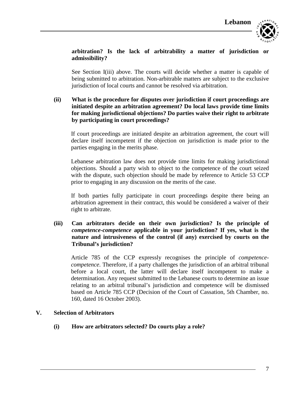

# **arbitration? Is the lack of arbitrability a matter of jurisdiction or admissibility?**

See Section I(iii) above. The courts will decide whether a matter is capable of being submitted to arbitration. Non-arbitrable matters are subject to the exclusive jurisdiction of local courts and cannot be resolved via arbitration.

### **(ii) What is the procedure for disputes over jurisdiction if court proceedings are initiated despite an arbitration agreement? Do local laws provide time limits for making jurisdictional objections? Do parties waive their right to arbitrate by participating in court proceedings?**

If court proceedings are initiated despite an arbitration agreement, the court will declare itself incompetent if the objection on jurisdiction is made prior to the parties engaging in the merits phase.

Lebanese arbitration law does not provide time limits for making jurisdictional objections. Should a party wish to object to the competence of the court seized with the dispute, such objection should be made by reference to Article 53 CCP prior to engaging in any discussion on the merits of the case.

If both parties fully participate in court proceedings despite there being an arbitration agreement in their contract, this would be considered a waiver of their right to arbitrate.

# **(iii) Can arbitrators decide on their own jurisdiction? Is the principle of**  *competence-competence* **applicable in your jurisdiction? If yes, what is the nature and intrusiveness of the control (if any) exercised by courts on the Tribunal's jurisdiction?**

Article 785 of the CCP expressly recognises the principle of *competencecompetence*. Therefore, if a party challenges the jurisdiction of an arbitral tribunal before a local court, the latter will declare itself incompetent to make a determination. Any request submitted to the Lebanese courts to determine an issue relating to an arbitral tribunal's jurisdiction and competence will be dismissed based on Article 785 CCP (Decision of the Court of Cassation, 5th Chamber, no. 160, dated 16 October 2003).

# **V. Selection of Arbitrators**

**(i) How are arbitrators selected? Do courts play a role?**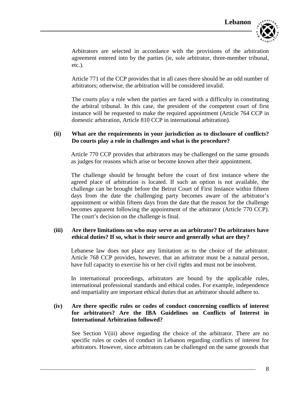

Arbitrators are selected in accordance with the provisions of the arbitration agreement entered into by the parties (ie, sole arbitrator, three-member tribunal, etc.).

Article 771 of the CCP provides that in all cases there should be an odd number of arbitrators; otherwise, the arbitration will be considered invalid.

The courts play a role when the parties are faced with a difficulty in constituting the arbitral tribunal. In this case, the president of the competent court of first instance will be requested to make the required appointment (Article 764 CCP in domestic arbitration, Article 810 CCP in international arbitration).

# **(ii) What are the requirements in your jurisdiction as to disclosure of conflicts? Do courts play a role in challenges and what is the procedure?**

Article 770 CCP provides that arbitrators may be challenged on the same grounds as judges for reasons which arise or become known after their appointment.

The challenge should be brought before the court of first instance where the agreed place of arbitration is located. If such an option is not available, the challenge can be brought before the Beirut Court of First Instance within fifteen days from the date the challenging party becomes aware of the arbitrator's appointment or within fifteen days from the date that the reason for the challenge becomes apparent following the appointment of the arbitrator (Article 770 CCP). The court's decision on the challenge is final.

### **(iii) Are there limitations on who may serve as an arbitrator? Do arbitrators have ethical duties? If so, what is their source and generally what are they?**

Lebanese law does not place any limitation as to the choice of the arbitrator. Article 768 CCP provides, however, that an arbitrator must be a natural person, have full capacity to exercise his or her civil rights and must not be insolvent.

In international proceedings, arbitrators are bound by the applicable rules, international professional standards and ethical codes. For example, independence and impartiality are important ethical duties that an arbitrator should adhere to.

# **(iv) Are there specific rules or codes of conduct concerning conflicts of interest for arbitrators? Are the IBA Guidelines on Conflicts of Interest in International Arbitration followed?**

See Section V(iii) above regarding the choice of the arbitrator. There are no specific rules or codes of conduct in Lebanon regarding conflicts of interest for arbitrators. However, since arbitrators can be challenged on the same grounds that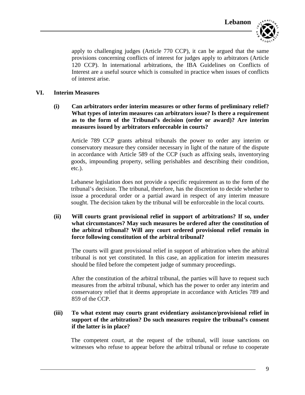

apply to challenging judges (Article 770 CCP), it can be argued that the same provisions concerning conflicts of interest for judges apply to arbitrators (Article 120 CCP). In international arbitrations, the IBA Guidelines on Conflicts of Interest are a useful source which is consulted in practice when issues of conflicts of interest arise.

### **VI. Interim Measures**

**(i) Can arbitrators order interim measures or other forms of preliminary relief? What types of interim measures can arbitrators issue? Is there a requirement as to the form of the Tribunal's decision (order or award)? Are interim measures issued by arbitrators enforceable in courts?**

Article 789 CCP grants arbitral tribunals the power to order any interim or conservatory measure they consider necessary in light of the nature of the dispute in accordance with Article 589 of the CCP (such as affixing seals, inventorying goods, impounding property, selling perishables and describing their condition, etc.).

Lebanese legislation does not provide a specific requirement as to the form of the tribunal's decision. The tribunal, therefore, has the discretion to decide whether to issue a procedural order or a partial award in respect of any interim measure sought. The decision taken by the tribunal will be enforceable in the local courts.

# **(ii) Will courts grant provisional relief in support of arbitrations? If so, under what circumstances? May such measures be ordered after the constitution of the arbitral tribunal? Will any court ordered provisional relief remain in force following constitution of the arbitral tribunal?**

The courts will grant provisional relief in support of arbitration when the arbitral tribunal is not yet constituted. In this case, an application for interim measures should be filed before the competent judge of summary proceedings.

After the constitution of the arbitral tribunal, the parties will have to request such measures from the arbitral tribunal, which has the power to order any interim and conservatory relief that it deems appropriate in accordance with Articles 789 and 859 of the CCP.

### **(iii) To what extent may courts grant evidentiary assistance/provisional relief in support of the arbitration? Do such measures require the tribunal's consent if the latter is in place?**

The competent court, at the request of the tribunal, will issue sanctions on witnesses who refuse to appear before the arbitral tribunal or refuse to cooperate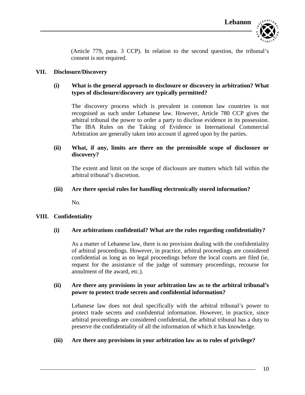

(Article 779, para. 3 CCP). In relation to the second question, the tribunal's consent is not required.

### **VII. Disclosure/Discovery**

# **(i) What is the general approach to disclosure or discovery in arbitration? What types of disclosure/discovery are typically permitted?**

The discovery process which is prevalent in common law countries is not recognised as such under Lebanese law. However, Article 780 CCP gives the arbitral tribunal the power to order a party to disclose evidence in its possession. The IBA Rules on the Taking of Evidence in International Commercial Arbitration are generally taken into account if agreed upon by the parties.

### **(ii) What, if any, limits are there on the permissible scope of disclosure or discovery?**

The extent and limit on the scope of disclosure are matters which fall within the arbitral tribunal's discretion.

#### **(iii) Are there special rules for handling electronically stored information?**

No.

#### **VIII. Confidentiality**

#### **(i) Are arbitrations confidential? What are the rules regarding confidentiality?**

As a matter of Lebanese law, there is no provision dealing with the confidentiality of arbitral proceedings. However, in practice, arbitral proceedings are considered confidential as long as no legal proceedings before the local courts are filed (ie, request for the assistance of the judge of summary proceedings, recourse for annulment of the award, etc.).

### **(ii) Are there any provisions in your arbitration law as to the arbitral tribunal's power to protect trade secrets and confidential information?**

Lebanese law does not deal specifically with the arbitral tribunal's power to protect trade secrets and confidential information. However, in practice, since arbitral proceedings are considered confidential, the arbitral tribunal has a duty to preserve the confidentiality of all the information of which it has knowledge.

#### **(iii) Are there any provisions in your arbitration law as to rules of privilege?**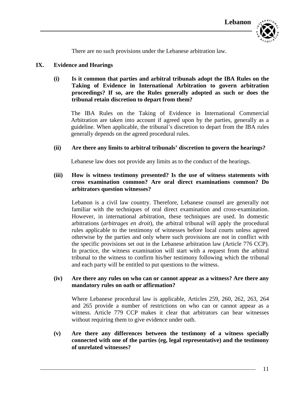

There are no such provisions under the Lebanese arbitration law.

#### **IX. Evidence and Hearings**

### **(i) Is it common that parties and arbitral tribunals adopt the IBA Rules on the Taking of Evidence in International Arbitration to govern arbitration proceedings? If so, are the Rules generally adopted as such or does the tribunal retain discretion to depart from them?**

The IBA Rules on the Taking of Evidence in International Commercial Arbitration are taken into account if agreed upon by the parties, generally as a guideline. When applicable, the tribunal's discretion to depart from the IBA rules generally depends on the agreed procedural rules.

#### **(ii) Are there any limits to arbitral tribunals' discretion to govern the hearings?**

Lebanese law does not provide any limits as to the conduct of the hearings.

### **(iii) How is witness testimony presented? Is the use of witness statements with cross examination common? Are oral direct examinations common? Do arbitrators question witnesses?**

Lebanon is a civil law country. Therefore, Lebanese counsel are generally not familiar with the techniques of oral direct examination and cross-examination. However, in international arbitration, these techniques are used. In domestic arbitrations (*arbitrages en droit*), the arbitral tribunal will apply the procedural rules applicable to the testimony of witnesses before local courts unless agreed otherwise by the parties and only where such provisions are not in conflict with the specific provisions set out in the Lebanese arbitration law (Article 776 CCP). In practice, the witness examination will start with a request from the arbitral tribunal to the witness to confirm his/her testimony following which the tribunal and each party will be entitled to put questions to the witness.

#### **(iv) Are there any rules on who can or cannot appear as a witness? Are there any mandatory rules on oath or affirmation?**

Where Lebanese procedural law is applicable, Articles 259, 260, 262, 263, 264 and 265 provide a number of restrictions on who can or cannot appear as a witness. Article 779 CCP makes it clear that arbitrators can hear witnesses without requiring them to give evidence under oath.

**(v) Are there any differences between the testimony of a witness specially connected with one of the parties (eg, legal representative) and the testimony of unrelated witnesses?**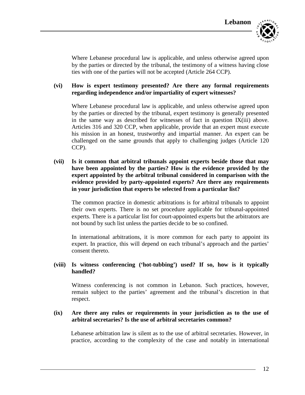Where Lebanese procedural law is applicable, and unless otherwise agreed upon by the parties or directed by the tribunal, the testimony of a witness having close ties with one of the parties will not be accepted (Article 264 CCP).

# **(vi) How is expert testimony presented? Are there any formal requirements regarding independence and/or impartiality of expert witnesses?**

Where Lebanese procedural law is applicable, and unless otherwise agreed upon by the parties or directed by the tribunal, expert testimony is generally presented in the same way as described for witnesses of fact in question IX(iii) above. Articles 316 and 320 CCP, when applicable, provide that an expert must execute his mission in an honest, trustworthy and impartial manner. An expert can be challenged on the same grounds that apply to challenging judges (Article 120 CCP).

**(vii) Is it common that arbitral tribunals appoint experts beside those that may have been appointed by the parties? How is the evidence provided by the expert appointed by the arbitral tribunal considered in comparison with the evidence provided by party-appointed experts? Are there any requirements in your jurisdiction that experts be selected from a particular list?** 

The common practice in domestic arbitrations is for arbitral tribunals to appoint their own experts. There is no set procedure applicable for tribunal-appointed experts. There is a particular list for court-appointed experts but the arbitrators are not bound by such list unless the parties decide to be so confined.

In international arbitrations, it is more common for each party to appoint its expert. In practice, this will depend on each tribunal's approach and the parties' consent thereto.

### **(viii) Is witness conferencing ('hot-tubbing') used? If so, how is it typically handled?**

Witness conferencing is not common in Lebanon. Such practices, however, remain subject to the parties' agreement and the tribunal's discretion in that respect.

#### **(ix) Are there any rules or requirements in your jurisdiction as to the use of arbitral secretaries? Is the use of arbitral secretaries common?**

Lebanese arbitration law is silent as to the use of arbitral secretaries. However, in practice, according to the complexity of the case and notably in international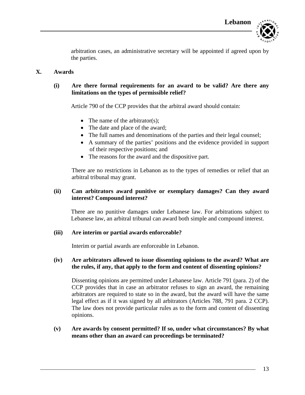

arbitration cases, an administrative secretary will be appointed if agreed upon by the parties.

#### **X. Awards**

# **(i) Are there formal requirements for an award to be valid? Are there any limitations on the types of permissible relief?**

Article 790 of the CCP provides that the arbitral award should contain:

- The name of the arbitrator(s);
- The date and place of the award;
- The full names and denominations of the parties and their legal counsel;
- A summary of the parties' positions and the evidence provided in support of their respective positions; and
- The reasons for the award and the dispositive part.

There are no restrictions in Lebanon as to the types of remedies or relief that an arbitral tribunal may grant.

### **(ii) Can arbitrators award punitive or exemplary damages? Can they award interest? Compound interest?**

There are no punitive damages under Lebanese law. For arbitrations subject to Lebanese law, an arbitral tribunal can award both simple and compound interest.

#### **(iii) Are interim or partial awards enforceable?**

Interim or partial awards are enforceable in Lebanon.

#### **(iv) Are arbitrators allowed to issue dissenting opinions to the award? What are the rules, if any, that apply to the form and content of dissenting opinions?**

Dissenting opinions are permitted under Lebanese law. Article 791 (para. 2) of the CCP provides that in case an arbitrator refuses to sign an award, the remaining arbitrators are required to state so in the award, but the award will have the same legal effect as if it was signed by all arbitrators (Articles 788, 791 para. 2 CCP). The law does not provide particular rules as to the form and content of dissenting opinions.

### **(v) Are awards by consent permitted? If so, under what circumstances? By what means other than an award can proceedings be terminated?**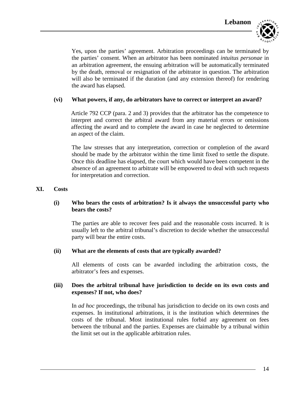

Yes, upon the parties' agreement. Arbitration proceedings can be terminated by the parties' consent. When an arbitrator has been nominated *intuitus personae* in an arbitration agreement, the ensuing arbitration will be automatically terminated by the death, removal or resignation of the arbitrator in question. The arbitration will also be terminated if the duration (and any extension thereof) for rendering the award has elapsed.

#### **(vi) What powers, if any, do arbitrators have to correct or interpret an award?**

Article 792 CCP (para. 2 and 3) provides that the arbitrator has the competence to interpret and correct the arbitral award from any material errors or omissions affecting the award and to complete the award in case he neglected to determine an aspect of the claim.

The law stresses that any interpretation, correction or completion of the award should be made by the arbitrator within the time limit fixed to settle the dispute. Once this deadline has elapsed, the court which would have been competent in the absence of an agreement to arbitrate will be empowered to deal with such requests for interpretation and correction.

#### **XI. Costs**

### **(i) Who bears the costs of arbitration? Is it always the unsuccessful party who bears the costs?**

The parties are able to recover fees paid and the reasonable costs incurred. It is usually left to the arbitral tribunal's discretion to decide whether the unsuccessful party will bear the entire costs.

#### **(ii) What are the elements of costs that are typically awarded?**

All elements of costs can be awarded including the arbitration costs, the arbitrator's fees and expenses.

#### **(iii) Does the arbitral tribunal have jurisdiction to decide on its own costs and expenses? If not, who does?**

In *ad hoc* proceedings, the tribunal has jurisdiction to decide on its own costs and expenses. In institutional arbitrations, it is the institution which determines the costs of the tribunal. Most institutional rules forbid any agreement on fees between the tribunal and the parties. Expenses are claimable by a tribunal within the limit set out in the applicable arbitration rules.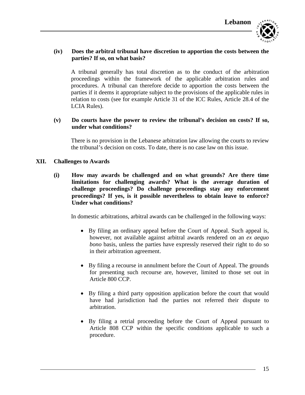

### **(iv) Does the arbitral tribunal have discretion to apportion the costs between the parties? If so, on what basis?**

A tribunal generally has total discretion as to the conduct of the arbitration proceedings within the framework of the applicable arbitration rules and procedures. A tribunal can therefore decide to apportion the costs between the parties if it deems it appropriate subject to the provisions of the applicable rules in relation to costs (see for example Article 31 of the ICC Rules, Article 28.4 of the LCIA Rules).

### **(v) Do courts have the power to review the tribunal's decision on costs? If so, under what conditions?**

There is no provision in the Lebanese arbitration law allowing the courts to review the tribunal's decision on costs. To date, there is no case law on this issue.

### **XII. Challenges to Awards**

**(i) How may awards be challenged and on what grounds? Are there time limitations for challenging awards? What is the average duration of challenge proceedings? Do challenge proceedings stay any enforcement proceedings? If yes, is it possible nevertheless to obtain leave to enforce? Under what conditions?**

In domestic arbitrations, arbitral awards can be challenged in the following ways:

- By filing an ordinary appeal before the Court of Appeal. Such appeal is, however, not available against arbitral awards rendered on an *ex aequo bono* basis, unless the parties have expressly reserved their right to do so in their arbitration agreement.
- By filing a recourse in annulment before the Court of Appeal. The grounds for presenting such recourse are, however, limited to those set out in Article 800 CCP.
- By filing a third party opposition application before the court that would have had jurisdiction had the parties not referred their dispute to arbitration.
- By filing a retrial proceeding before the Court of Appeal pursuant to Article 808 CCP within the specific conditions applicable to such a procedure.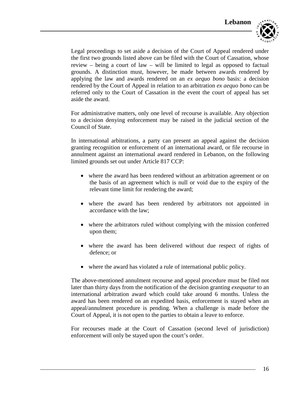

Legal proceedings to set aside a decision of the Court of Appeal rendered under the first two grounds listed above can be filed with the Court of Cassation, whose review – being a court of law – will be limited to legal as opposed to factual grounds. A distinction must, however, be made between awards rendered by applying the law and awards rendered on an *ex aequo bono* basis: a decision rendered by the Court of Appeal in relation to an arbitration *ex aequo bono* can be referred only to the Court of Cassation in the event the court of appeal has set aside the award.

For administrative matters, only one level of recourse is available. Any objection to a decision denying enforcement may be raised in the judicial section of the Council of State.

In international arbitrations, a party can present an appeal against the decision granting recognition or enforcement of an international award, or file recourse in annulment against an international award rendered in Lebanon, on the following limited grounds set out under Article 817 CCP:

- where the award has been rendered without an arbitration agreement or on the basis of an agreement which is null or void due to the expiry of the relevant time limit for rendering the award;
- where the award has been rendered by arbitrators not appointed in accordance with the law;
- where the arbitrators ruled without complying with the mission conferred upon them;
- where the award has been delivered without due respect of rights of defence; or
- where the award has violated a rule of international public policy.

The above-mentioned annulment recourse and appeal procedure must be filed not later than thirty days from the notification of the decision granting *exequatur* to an international arbitration award which could take around 6 months. Unless the award has been rendered on an expedited basis, enforcement is stayed when an appeal/annulment procedure is pending. When a challenge is made before the Court of Appeal, it is not open to the parties to obtain a leave to enforce.

For recourses made at the Court of Cassation (second level of jurisdiction) enforcement will only be stayed upon the court's order.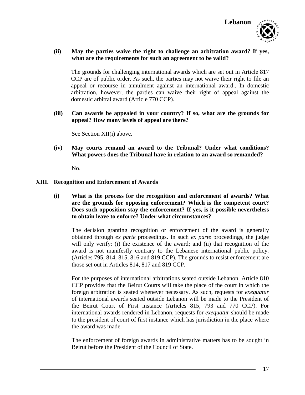

### **(ii) May the parties waive the right to challenge an arbitration award? If yes, what are the requirements for such an agreement to be valid?**

The grounds for challenging international awards which are set out in Article 817 CCP are of public order. As such, the parties may not waive their right to file an appeal or recourse in annulment against an international award.. In domestic arbitration, however, the parties can waive their right of appeal against the domestic arbitral award (Article 770 CCP).

**(iii) Can awards be appealed in your country? If so, what are the grounds for appeal? How many levels of appeal are there?**

See Section XII(i) above.

**(iv) May courts remand an award to the Tribunal? Under what conditions? What powers does the Tribunal have in relation to an award so remanded?**

No.

#### **XIII. Recognition and Enforcement of Awards**

**(i) What is the process for the recognition and enforcement of awards? What are the grounds for opposing enforcement? Which is the competent court? Does such opposition stay the enforcement? If yes, is it possible nevertheless to obtain leave to enforce? Under what circumstances?**

The decision granting recognition or enforcement of the award is generally obtained through *ex parte* proceedings. In such *ex parte* proceedings, the judge will only verify: (i) the existence of the award; and (ii) that recognition of the award is not manifestly contrary to the Lebanese international public policy. (Articles 795, 814, 815, 816 and 819 CCP). The grounds to resist enforcement are those set out in Articles 814, 817 and 819 CCP.

For the purposes of international arbitrations seated outside Lebanon, Article 810 CCP provides that the Beirut Courts will take the place of the court in which the foreign arbitration is seated whenever necessary. As such, requests for *exequatur* of international awards seated outside Lebanon will be made to the President of the Beirut Court of First instance (Articles 815, 793 and 770 CCP). For international awards rendered in Lebanon, requests for *exequatur* should be made to the president of court of first instance which has jurisdiction in the place where the award was made.

The enforcement of foreign awards in administrative matters has to be sought in Beirut before the President of the Council of State.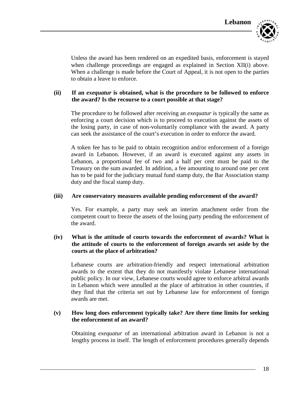Unless the award has been rendered on an expedited basis, enforcement is stayed when challenge proceedings are engaged as explained in Section XII(i) above. When a challenge is made before the Court of Appeal, it is not open to the parties to obtain a leave to enforce.

### **(ii) If an** *exequatur* **is obtained, what is the procedure to be followed to enforce the award? Is the recourse to a court possible at that stage?**

The procedure to be followed after receiving an *exequatur* is typically the same as enforcing a court decision which is to proceed to execution against the assets of the losing party, in case of non-voluntarily compliance with the award. A party can seek the assistance of the court's execution in order to enforce the award.

A token fee has to be paid to obtain recognition and/or enforcement of a foreign award in Lebanon. However, if an award is executed against any assets in Lebanon, a proportional fee of two and a half per cent must be paid to the Treasury on the sum awarded. In addition, a fee amounting to around one per cent has to be paid for the judiciary mutual fund stamp duty, the Bar Association stamp duty and the fiscal stamp duty.

### **(iii) Are conservatory measures available pending enforcement of the award?**

Yes. For example, a party may seek an interim attachment order from the competent court to freeze the assets of the losing party pending the enforcement of the award.

### **(iv) What is the attitude of courts towards the enforcement of awards? What is the attitude of courts to the enforcement of foreign awards set aside by the courts at the place of arbitration?**

Lebanese courts are arbitration-friendly and respect international arbitration awards to the extent that they do not manifestly violate Lebanese international public policy. In our view, Lebanese courts would agree to enforce arbitral awards in Lebanon which were annulled at the place of arbitration in other countries, if they find that the criteria set out by Lebanese law for enforcement of foreign awards are met.

### **(v) How long does enforcement typically take? Are there time limits for seeking the enforcement of an award?**

Obtaining *exequatur* of an international arbitration award in Lebanon is not a lengthy process in itself. The length of enforcement procedures generally depends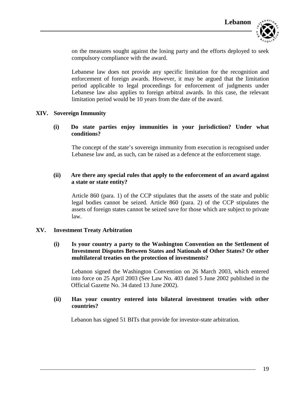

on the measures sought against the losing party and the efforts deployed to seek compulsory compliance with the award.

Lebanese law does not provide any specific limitation for the recognition and enforcement of foreign awards. However, it may be argued that the limitation period applicable to legal proceedings for enforcement of judgments under Lebanese law also applies to foreign arbitral awards. In this case, the relevant limitation period would be 10 years from the date of the award.

#### **XIV. Sovereign Immunity**

### **(i) Do state parties enjoy immunities in your jurisdiction? Under what conditions?**

The concept of the state's sovereign immunity from execution is recognised under Lebanese law and, as such, can be raised as a defence at the enforcement stage.

### **(ii) Are there any special rules that apply to the enforcement of an award against a state or state entity?**

Article 860 (para. 1) of the CCP stipulates that the assets of the state and public legal bodies cannot be seized. Article 860 (para. 2) of the CCP stipulates the assets of foreign states cannot be seized save for those which are subject to private law.

#### **XV. Investment Treaty Arbitration**

### **(i) Is your country a party to the Washington Convention on the Settlement of Investment Disputes Between States and Nationals of Other States? Or other multilateral treaties on the protection of investments?**

Lebanon signed the Washington Convention on 26 March 2003, which entered into force on 25 April 2003 (See Law No. 403 dated 5 June 2002 published in the Official Gazette No. 34 dated 13 June 2002).

#### **(ii) Has your country entered into bilateral investment treaties with other countries?**

Lebanon has signed 51 BITs that provide for investor-state arbitration.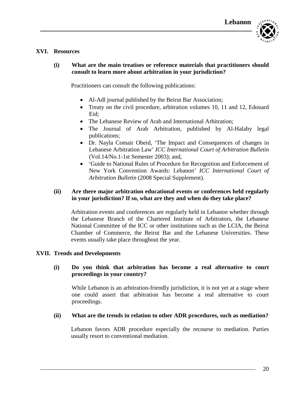

### **XVI. Resources**

**(i) What are the main treatises or reference materials that practitioners should consult to learn more about arbitration in your jurisdiction?**

Practitioners can consult the following publications:

- Al-Adl journal published by the Beirut Bar Association;
- Treaty on the civil procedure, arbitration volumes 10, 11 and 12, Edouard Eid;
- The Lebanese Review of Arab and International Arbitration;
- The Journal of Arab Arbitration, published by Al-Halaby legal publications;
- Dr. Nayla Comair Obeid, 'The Impact and Consequences of changes in Lebanese Arbitration Law' *ICC International Court of Arbitration Bulletin* (Vol.14/No.1-1st Semester 2003); and,
- 'Guide to National Rules of Procedure for Recognition and Enforcement of New York Convention Awards: Lebanon' *ICC International Court of Arbitration Bulletin* (2008 Special Supplement).

### **(ii) Are there major arbitration educational events or conferences held regularly in your jurisdiction? If so, what are they and when do they take place?**

Arbitration events and conferences are regularly held in Lebanon whether through the Lebanese Branch of the Chartered Institute of Arbitrators, the Lebanese National Committee of the ICC or other institutions such as the LCIA, the Beirut Chamber of Commerce, the Beirut Bar and the Lebanese Universities. These events usually take place throughout the year.

#### **XVII. Trends and Developments**

### **(i) Do you think that arbitration has become a real alternative to court proceedings in your country?**

While Lebanon is an arbitration-friendly jurisdiction, it is not yet at a stage where one could assert that arbitration has become a real alternative to court proceedings.

#### **(ii) What are the trends in relation to other ADR procedures, such as mediation?**

Lebanon favors ADR procedure especially the recourse to mediation. Parties usually resort to conventional mediation.